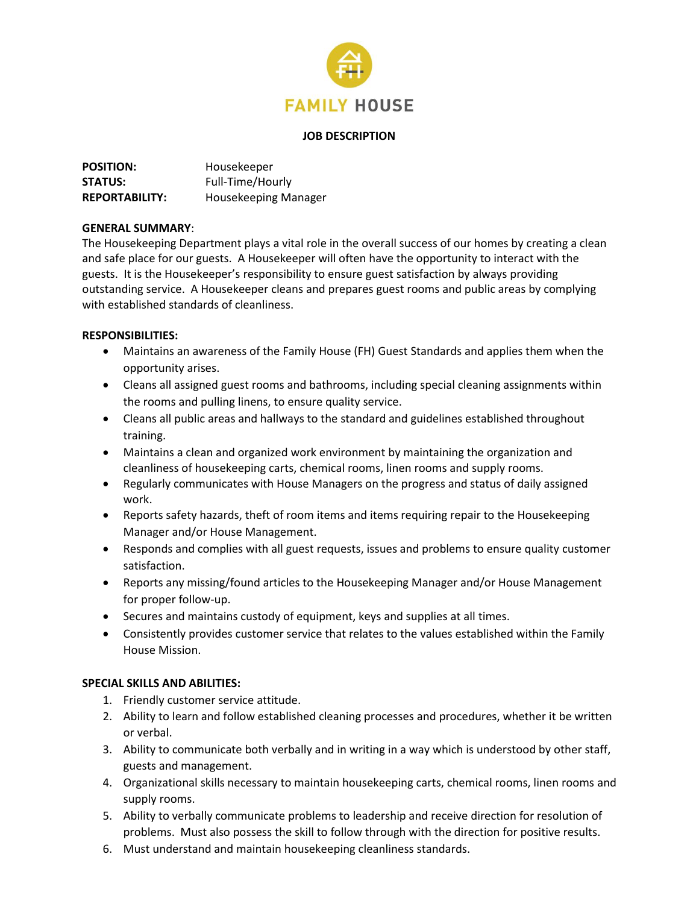

#### **JOB DESCRIPTION**

| <b>POSITION:</b>      | Housekeeper                 |
|-----------------------|-----------------------------|
| <b>STATUS:</b>        | Full-Time/Hourly            |
| <b>REPORTABILITY:</b> | <b>Housekeeping Manager</b> |

### **GENERAL SUMMARY**:

The Housekeeping Department plays a vital role in the overall success of our homes by creating a clean and safe place for our guests. A Housekeeper will often have the opportunity to interact with the guests. It is the Housekeeper's responsibility to ensure guest satisfaction by always providing outstanding service. A Housekeeper cleans and prepares guest rooms and public areas by complying with established standards of cleanliness.

### **RESPONSIBILITIES:**

- Maintains an awareness of the Family House (FH) Guest Standards and applies them when the opportunity arises.
- Cleans all assigned guest rooms and bathrooms, including special cleaning assignments within the rooms and pulling linens, to ensure quality service.
- Cleans all public areas and hallways to the standard and guidelines established throughout training.
- Maintains a clean and organized work environment by maintaining the organization and cleanliness of housekeeping carts, chemical rooms, linen rooms and supply rooms.
- Regularly communicates with House Managers on the progress and status of daily assigned work.
- Reports safety hazards, theft of room items and items requiring repair to the Housekeeping Manager and/or House Management.
- Responds and complies with all guest requests, issues and problems to ensure quality customer satisfaction.
- Reports any missing/found articles to the Housekeeping Manager and/or House Management for proper follow-up.
- Secures and maintains custody of equipment, keys and supplies at all times.
- Consistently provides customer service that relates to the values established within the Family House Mission.

## **SPECIAL SKILLS AND ABILITIES:**

- 1. Friendly customer service attitude.
- 2. Ability to learn and follow established cleaning processes and procedures, whether it be written or verbal.
- 3. Ability to communicate both verbally and in writing in a way which is understood by other staff, guests and management.
- 4. Organizational skills necessary to maintain housekeeping carts, chemical rooms, linen rooms and supply rooms.
- 5. Ability to verbally communicate problems to leadership and receive direction for resolution of problems. Must also possess the skill to follow through with the direction for positive results.
- 6. Must understand and maintain housekeeping cleanliness standards.